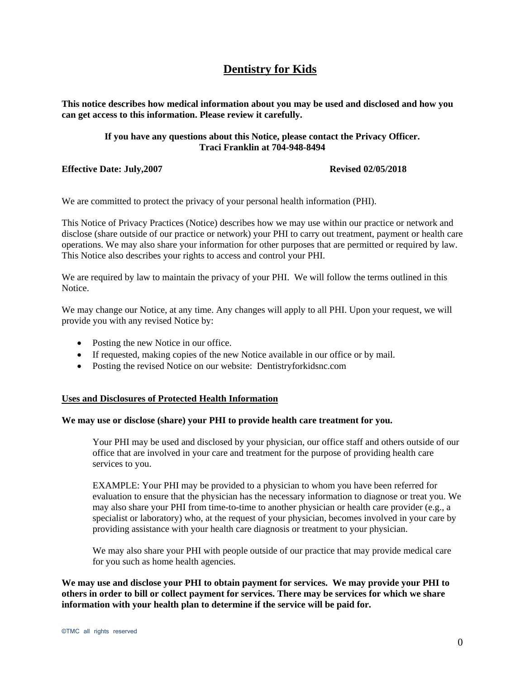# **Dentistry for Kids**

**This notice describes how medical information about you may be used and disclosed and how you can get access to this information. Please review it carefully.** 

# **If you have any questions about this Notice, please contact the Privacy Officer. Traci Franklin at 704-948-8494**

**Effective Date: July,2007 Revised 02/05/2018**

We are committed to protect the privacy of your personal health information (PHI).

This Notice of Privacy Practices (Notice) describes how we may use within our practice or network and disclose (share outside of our practice or network) your PHI to carry out treatment, payment or health care operations. We may also share your information for other purposes that are permitted or required by law. This Notice also describes your rights to access and control your PHI.

We are required by law to maintain the privacy of your PHI. We will follow the terms outlined in this Notice.

We may change our Notice, at any time. Any changes will apply to all PHI. Upon your request, we will provide you with any revised Notice by:

- Posting the new Notice in our office.
- If requested, making copies of the new Notice available in our office or by mail.
- Posting the revised Notice on our website: Dentistryforkidsnc.com

### **Uses and Disclosures of Protected Health Information**

# **We may use or disclose (share) your PHI to provide health care treatment for you.**

Your PHI may be used and disclosed by your physician, our office staff and others outside of our office that are involved in your care and treatment for the purpose of providing health care services to you.

EXAMPLE: Your PHI may be provided to a physician to whom you have been referred for evaluation to ensure that the physician has the necessary information to diagnose or treat you. We may also share your PHI from time-to-time to another physician or health care provider (e.g., a specialist or laboratory) who, at the request of your physician, becomes involved in your care by providing assistance with your health care diagnosis or treatment to your physician.

We may also share your PHI with people outside of our practice that may provide medical care for you such as home health agencies.

**We may use and disclose your PHI to obtain payment for services. We may provide your PHI to others in order to bill or collect payment for services. There may be services for which we share information with your health plan to determine if the service will be paid for.**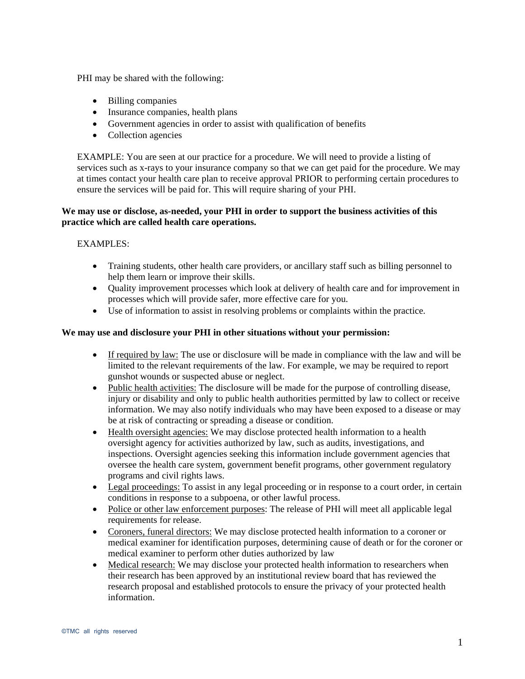PHI may be shared with the following:

- Billing companies
- Insurance companies, health plans
- Government agencies in order to assist with qualification of benefits
- Collection agencies

EXAMPLE: You are seen at our practice for a procedure. We will need to provide a listing of services such as x-rays to your insurance company so that we can get paid for the procedure. We may at times contact your health care plan to receive approval PRIOR to performing certain procedures to ensure the services will be paid for. This will require sharing of your PHI.

# **We may use or disclose, as-needed, your PHI in order to support the business activities of this practice which are called health care operations.**

# EXAMPLES:

- Training students, other health care providers, or ancillary staff such as billing personnel to help them learn or improve their skills.
- Quality improvement processes which look at delivery of health care and for improvement in processes which will provide safer, more effective care for you.
- Use of information to assist in resolving problems or complaints within the practice.

# **We may use and disclosure your PHI in other situations without your permission:**

- If required by law: The use or disclosure will be made in compliance with the law and will be limited to the relevant requirements of the law. For example, we may be required to report gunshot wounds or suspected abuse or neglect.
- Public health activities: The disclosure will be made for the purpose of controlling disease, injury or disability and only to public health authorities permitted by law to collect or receive information. We may also notify individuals who may have been exposed to a disease or may be at risk of contracting or spreading a disease or condition.
- Health oversight agencies: We may disclose protected health information to a health oversight agency for activities authorized by law, such as audits, investigations, and inspections. Oversight agencies seeking this information include government agencies that oversee the health care system, government benefit programs, other government regulatory programs and civil rights laws.
- Legal proceedings: To assist in any legal proceeding or in response to a court order, in certain conditions in response to a subpoena, or other lawful process.
- Police or other law enforcement purposes: The release of PHI will meet all applicable legal requirements for release.
- Coroners, funeral directors: We may disclose protected health information to a coroner or medical examiner for identification purposes, determining cause of death or for the coroner or medical examiner to perform other duties authorized by law
- Medical research: We may disclose your protected health information to researchers when their research has been approved by an institutional review board that has reviewed the research proposal and established protocols to ensure the privacy of your protected health information.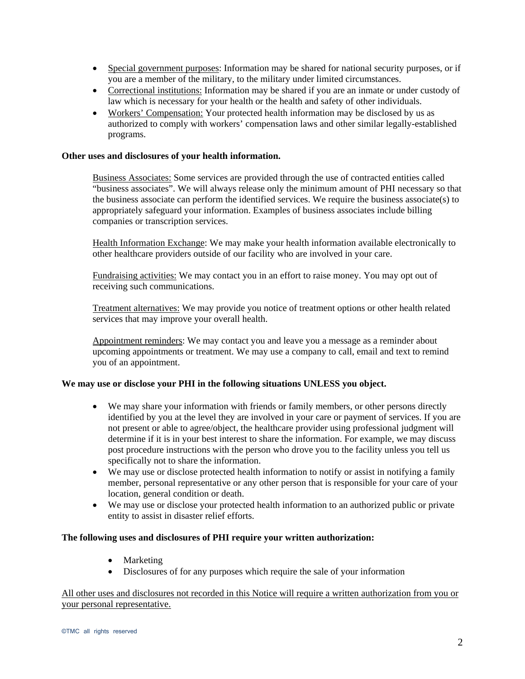- Special government purposes: Information may be shared for national security purposes, or if you are a member of the military, to the military under limited circumstances.
- Correctional institutions: Information may be shared if you are an inmate or under custody of law which is necessary for your health or the health and safety of other individuals.
- Workers' Compensation: Your protected health information may be disclosed by us as authorized to comply with workers' compensation laws and other similar legally-established programs.

# **Other uses and disclosures of your health information.**

Business Associates: Some services are provided through the use of contracted entities called "business associates". We will always release only the minimum amount of PHI necessary so that the business associate can perform the identified services. We require the business associate(s) to appropriately safeguard your information. Examples of business associates include billing companies or transcription services.

Health Information Exchange: We may make your health information available electronically to other healthcare providers outside of our facility who are involved in your care.

Fundraising activities: We may contact you in an effort to raise money. You may opt out of receiving such communications.

Treatment alternatives: We may provide you notice of treatment options or other health related services that may improve your overall health.

Appointment reminders: We may contact you and leave you a message as a reminder about upcoming appointments or treatment. We may use a company to call, email and text to remind you of an appointment.

# **We may use or disclose your PHI in the following situations UNLESS you object.**

- We may share your information with friends or family members, or other persons directly identified by you at the level they are involved in your care or payment of services. If you are not present or able to agree/object, the healthcare provider using professional judgment will determine if it is in your best interest to share the information. For example, we may discuss post procedure instructions with the person who drove you to the facility unless you tell us specifically not to share the information.
- We may use or disclose protected health information to notify or assist in notifying a family member, personal representative or any other person that is responsible for your care of your location, general condition or death.
- We may use or disclose your protected health information to an authorized public or private entity to assist in disaster relief efforts.

### **The following uses and disclosures of PHI require your written authorization:**

- Marketing
- Disclosures of for any purposes which require the sale of your information

# All other uses and disclosures not recorded in this Notice will require a written authorization from you or your personal representative.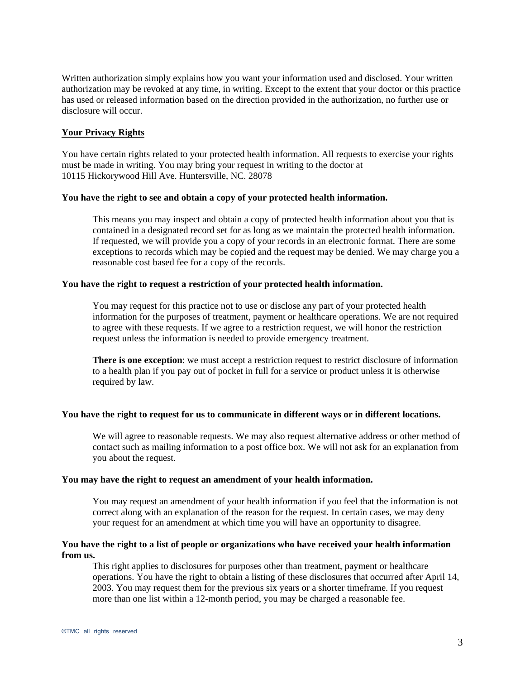Written authorization simply explains how you want your information used and disclosed. Your written authorization may be revoked at any time, in writing. Except to the extent that your doctor or this practice has used or released information based on the direction provided in the authorization, no further use or disclosure will occur.

# **Your Privacy Rights**

You have certain rights related to your protected health information. All requests to exercise your rights must be made in writing. You may bring your request in writing to the doctor at 10115 Hickorywood Hill Ave. Huntersville, NC. 28078

# **You have the right to see and obtain a copy of your protected health information.**

This means you may inspect and obtain a copy of protected health information about you that is contained in a designated record set for as long as we maintain the protected health information. If requested, we will provide you a copy of your records in an electronic format. There are some exceptions to records which may be copied and the request may be denied. We may charge you a reasonable cost based fee for a copy of the records.

#### **You have the right to request a restriction of your protected health information.**

You may request for this practice not to use or disclose any part of your protected health information for the purposes of treatment, payment or healthcare operations. We are not required to agree with these requests. If we agree to a restriction request, we will honor the restriction request unless the information is needed to provide emergency treatment.

**There is one exception**: we must accept a restriction request to restrict disclosure of information to a health plan if you pay out of pocket in full for a service or product unless it is otherwise required by law.

#### **You have the right to request for us to communicate in different ways or in different locations.**

We will agree to reasonable requests. We may also request alternative address or other method of contact such as mailing information to a post office box. We will not ask for an explanation from you about the request.

#### **You may have the right to request an amendment of your health information.**

You may request an amendment of your health information if you feel that the information is not correct along with an explanation of the reason for the request. In certain cases, we may deny your request for an amendment at which time you will have an opportunity to disagree.

# **You have the right to a list of people or organizations who have received your health information from us.**

This right applies to disclosures for purposes other than treatment, payment or healthcare operations. You have the right to obtain a listing of these disclosures that occurred after April 14, 2003. You may request them for the previous six years or a shorter timeframe. If you request more than one list within a 12-month period, you may be charged a reasonable fee.